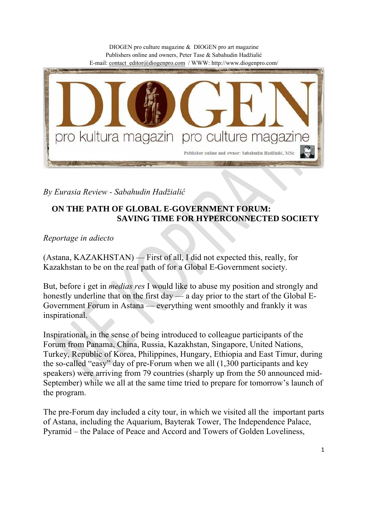DIOGEN pro culture magazine & DIOGEN pro art magazine Publishers online and owners, Peter Tase & Sabahudin Hadžialić E-mail: contact\_editor@diogenpro.com / WWW: http://www.diogenpro.com/ pro kultura magazin pro culture magazir Publisher online and owner: Sabahudin Hadžialić, MSc

*By Eurasia Review - Sabahudin Hadžialić*

## **ON THE PATH OF GLOBAL E-GOVERNMENT FORUM: SAVING TIME FOR HYPERCONNECTED SOCIETY**

*Reportage in adiecto*

(Astana, KAZAKHSTAN) — First of all, I did not expected this, really, for Kazakhstan to be on the real path of for a Global E-Government society.

But, before i get in *medias res* I would like to abuse my position and strongly and honestly underline that on the first day — a day prior to the start of the Global E-Government Forum in Astana — everything went smoothly and frankly it was inspirational.

Inspirational, in the sense of being introduced to colleague participants of the Forum from Panama, China, Russia, Kazakhstan, Singapore, United Nations, Turkey, Republic of Korea, Philippines, Hungary, Ethiopia and East Timur, during the so-called "easy" day of pre-Forum when we all (1,300 participants and key speakers) were arriving from 79 countries (sharply up from the 50 announced mid-September) while we all at the same time tried to prepare for tomorrow's launch of the program.

The pre-Forum day included a city tour, in which we visited all the important parts of Astana, including the Aquarium, Bayterak Tower, The Independence Palace, Pyramid – the Palace of Peace and Accord and Towers of Golden Loveliness,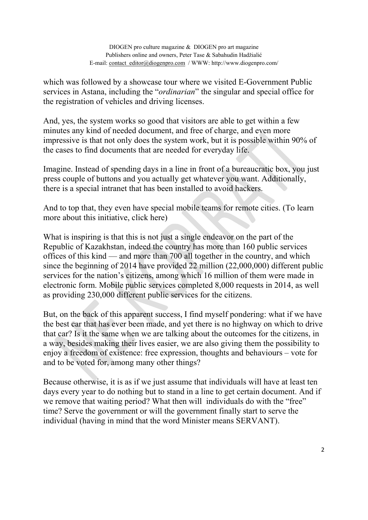which was followed by a showcase tour where we visited E-Government Public services in Astana, including the "*ordinarian*" the singular and special office for the registration of vehicles and driving licenses.

And, yes, the system works so good that visitors are able to get within a few minutes any kind of needed document, and free of charge, and even more impressive is that not only does the system work, but it is possible within 90% of the cases to find documents that are needed for everyday life.

Imagine. Instead of spending days in a line in front of a bureaucratic box, you just press couple of buttons and you actually get whatever you want. Additionally, there is a special intranet that has been installed to avoid hackers.

And to top that, they even have special mobile teams for remote cities. (To learn more about this initiative, click here)

What is inspiring is that this is not just a single endeavor on the part of the Republic of Kazakhstan, indeed the country has more than 160 public services offices of this kind — and more than 700 all together in the country, and which since the beginning of 2014 have provided 22 million (22,000,000) different public services for the nation's citizens, among which 16 million of them were made in electronic form. Mobile public services completed 8,000 requests in 2014, as well as providing 230,000 different public services for the citizens.

But, on the back of this apparent success, I find myself pondering: what if we have the best car that has ever been made, and yet there is no highway on which to drive that car? Is it the same when we are talking about the outcomes for the citizens, in a way, besides making their lives easier, we are also giving them the possibility to enjoy a freedom of existence: free expression, thoughts and behaviours – vote for and to be voted for, among many other things?

Because otherwise, it is as if we just assume that individuals will have at least ten days every year to do nothing but to stand in a line to get certain document. And if we remove that waiting period? What then will individuals do with the "free" time? Serve the government or will the government finally start to serve the individual (having in mind that the word Minister means SERVANT).